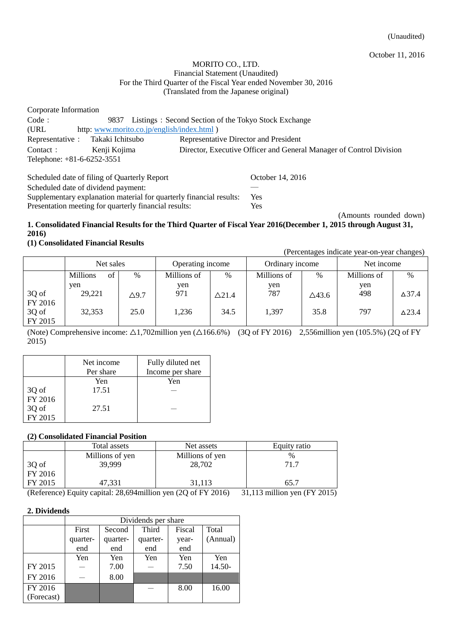#### MORITO CO., LTD. Financial Statement (Unaudited) For the Third Quarter of the Fiscal Year ended November 30, 2016 (Translated from the Japanese original)

| Corporate Information             |                                                                     |
|-----------------------------------|---------------------------------------------------------------------|
| Code:<br>9837                     | Listings: Second Section of the Tokyo Stock Exchange                |
| (URL)                             | http: www.morito.co.jp/english/index.html )                         |
| Representative : Takaki Ichitsubo | Representative Director and President                               |
| Kenji Kojima<br>Contact:          | Director, Executive Officer and General Manager of Control Division |
| Telephone: +81-6-6252-3551        |                                                                     |

| Scheduled date of filing of Quarterly Report                        | October 14, 2016 |
|---------------------------------------------------------------------|------------------|
| Scheduled date of dividend payment:                                 |                  |
| Supplementary explanation material for quarterly financial results: | <b>Yes</b>       |
| Presentation meeting for quarterly financial results:               | <b>Yes</b>       |

(Amounts rounded down) **1. Consolidated Financial Results for the Third Quarter of Fiscal Year 2016(December 1, 2015 through August 31,** 

#### **2016) (1) Consolidated Financial Results**

(Percentages indicate year-on-year changes)

|         | Net sales             |              | Operating income |                  | Ordinary income |       | Net income  |               |
|---------|-----------------------|--------------|------------------|------------------|-----------------|-------|-------------|---------------|
|         | <b>Millions</b><br>of | $\%$         | Millions of      | %                | Millions of     | $\%$  | Millions of | $\%$          |
|         | ven                   |              | yen              |                  | yen             |       | yen         |               |
| 3Q of   | 29,221                | $\Delta$ 9.7 | 971              | $\triangle$ 21.4 | 787             | △43.6 | 498         | $\Delta$ 37.4 |
| FY 2016 |                       |              |                  |                  |                 |       |             |               |
| 3Q of   | 32,353                | 25.0         | 1,236            | 34.5             | 1,397           | 35.8  | 797         | $\Delta$ 23.4 |
| FY 2015 |                       |              |                  |                  |                 |       |             |               |

(Note) Comprehensive income:  $\triangle 1,702$ million yen ( $\triangle 166.6\%$ ) (3Q of FY 2016) 2,556million yen (105.5%) (2Q of FY 2015)

|         | Net income | Fully diluted net |
|---------|------------|-------------------|
|         | Per share  | Income per share  |
|         | Yen        | Yen               |
| 3Q of   | 17.51      |                   |
| FY 2016 |            |                   |
| 3Q of   | 27.51      |                   |
| FY 2015 |            |                   |

# **(2) Consolidated Financial Position**

|                                     | Total assets    | Net assets      | Equity ratio |
|-------------------------------------|-----------------|-----------------|--------------|
|                                     | Millions of yen | Millions of yen | $\%$         |
| $\left  \frac{3Q}{FY} \right $ 2016 | 39,999          | 28,702          | 71.7         |
|                                     |                 |                 |              |
| FY 2015                             | 47.331          | 31.113          | 65.7         |

(Reference) Equity capital: 28,694million yen (2Q of FY 2016) 31,113 million yen (FY 2015)

### **2. Dividends**

|            | Dividends per share |          |          |        |          |  |
|------------|---------------------|----------|----------|--------|----------|--|
|            | First               | Second   | Third    | Fiscal | Total    |  |
|            | quarter-            | quarter- | quarter- | year-  | (Annual) |  |
|            | end                 | end      |          |        |          |  |
|            | Yen                 | Yen      | Yen      | Yen    | Yen      |  |
| FY 2015    |                     | 7.00     |          | 7.50   | 14.50-   |  |
| FY 2016    |                     | 8.00     |          |        |          |  |
| FY 2016    |                     |          |          | 8.00   | 16.00    |  |
| (Forecast) |                     |          |          |        |          |  |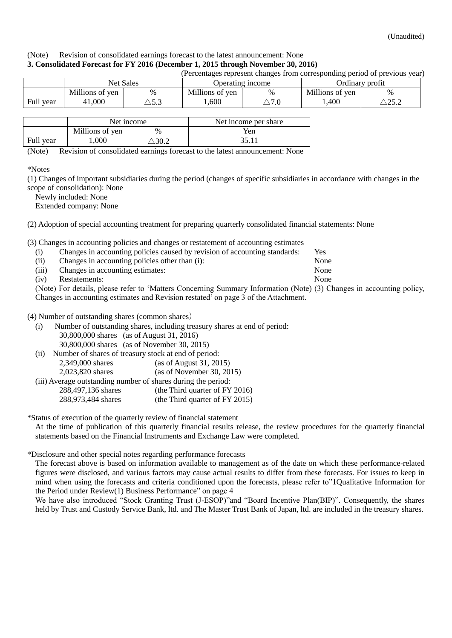#### (Note) Revision of consolidated earnings forecast to the latest announcement: None **3. Consolidated Forecast for FY 2016 (December 1, 2015 through November 30, 2016)**

| (Percentages represent changes from corresponding period of previous year) |                                                         |                |                 |                |                 |                  |
|----------------------------------------------------------------------------|---------------------------------------------------------|----------------|-----------------|----------------|-----------------|------------------|
|                                                                            | <b>Net Sales</b><br>Ordinary profit<br>Operating income |                |                 |                |                 |                  |
|                                                                            | Millions of yen                                         | %              | Millions of yen | $\%$           | Millions of yen | $\%$             |
| Full year                                                                  | 41,000                                                  | $\searrow$ 5.3 | 600             | $\Diamond 7.0$ | .400            | $\triangle$ 25.2 |
|                                                                            |                                                         |                |                 |                |                 |                  |

|           |                 | Net income | Net income per share |
|-----------|-----------------|------------|----------------------|
|           | Millions of yen | $\%$       | Yen                  |
| Full year | ,000            | 30.2       |                      |

(Note) Revision of consolidated earnings forecast to the latest announcement: None

\*Notes

(1) Changes of important subsidiaries during the period (changes of specific subsidiaries in accordance with changes in the scope of consolidation): None

Newly included: None

Extended company: None

(2) Adoption of special accounting treatment for preparing quarterly consolidated financial statements: None

(3) Changes in accounting policies and changes or restatement of accounting estimates

| (i)   |                                                | Changes in accounting policies caused by revision of accounting standards: | Yes  |
|-------|------------------------------------------------|----------------------------------------------------------------------------|------|
| (ii)  | Changes in accounting policies other than (i): |                                                                            | None |
| (iii) | Changes in accounting estimates:               |                                                                            | None |
| (iv)  | Restatements:                                  |                                                                            | None |

(Note) For details, please refer to 'Matters Concerning Summary Information (Note) (3) Changes in accounting policy, Changes in accounting estimates and Revision restated' on page 3 of the Attachment.

(4) Number of outstanding shares (common shares)

- (i) Number of outstanding shares, including treasury shares at end of period: 30,800,000 shares (as of August 31, 2016) 30,800,000 shares (as of November 30, 2015)
- (ii) Number of shares of treasury stock at end of period: 2,349,000 shares (as of August 31, 2015) 2,023,820 shares (as of November 30, 2015) (iii) Average outstanding number of shares during the period:

288,497,136 shares (the Third quarter of FY 2016) 288,973,484 shares (the Third quarter of FY 2015)

\*Status of execution of the quarterly review of financial statement

At the time of publication of this quarterly financial results release, the review procedures for the quarterly financial statements based on the Financial Instruments and Exchange Law were completed.

\*Disclosure and other special notes regarding performance forecasts

The forecast above is based on information available to management as of the date on which these performance-related figures were disclosed, and various factors may cause actual results to differ from these forecasts. For issues to keep in mind when using the forecasts and criteria conditioned upon the forecasts, please refer to["1Qualitative Information for](#page-3-0)  [the Period under Review\(1\) Business Performance"](#page-3-0) on page 4

We have also introduced "Stock Granting Trust (J-ESOP)"and "Board Incentive Plan(BIP)". Consequently, the shares held by Trust and Custody Service Bank, ltd. and The Master Trust Bank of Japan, ltd. are included in the treasury shares.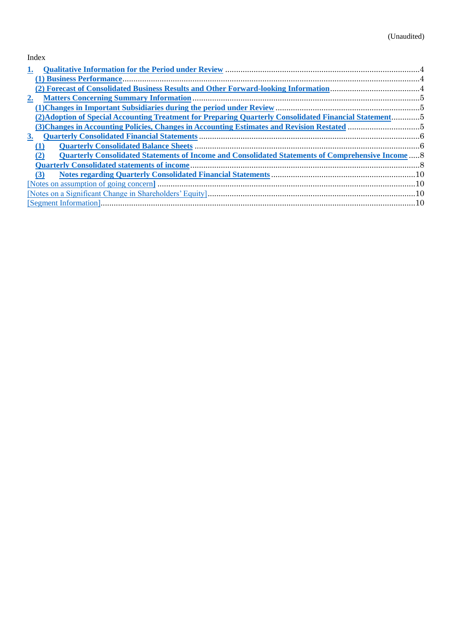# Index

| 1.          |                                                                                                                 |  |
|-------------|-----------------------------------------------------------------------------------------------------------------|--|
|             |                                                                                                                 |  |
|             |                                                                                                                 |  |
| $2_{\cdot}$ |                                                                                                                 |  |
|             |                                                                                                                 |  |
|             | (2) Adoption of Special Accounting Treatment for Preparing Quarterly Consolidated Financial Statement5          |  |
|             |                                                                                                                 |  |
| <u>3.</u>   |                                                                                                                 |  |
|             |                                                                                                                 |  |
|             | <b>Ouarterly Consolidated Statements of Income and Consolidated Statements of Comprehensive Income 8</b><br>(2) |  |
|             |                                                                                                                 |  |
|             | (3)                                                                                                             |  |
|             |                                                                                                                 |  |
|             |                                                                                                                 |  |
|             |                                                                                                                 |  |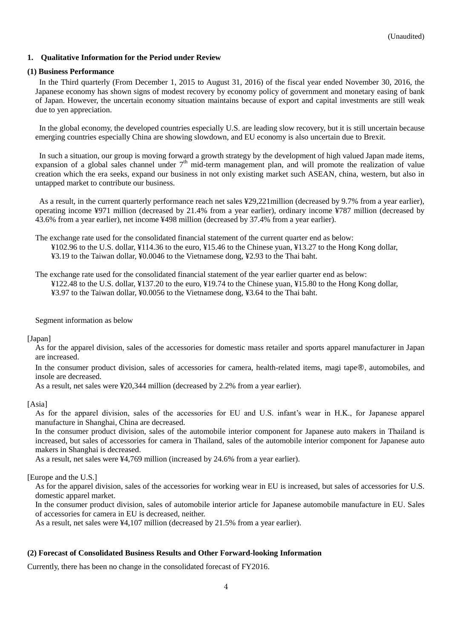#### <span id="page-3-0"></span>**1. Qualitative Information for the Period under Review**

#### <span id="page-3-1"></span>**(1) Business Performance**

In the Third quarterly (From December 1, 2015 to August 31, 2016) of the fiscal year ended November 30, 2016, the Japanese economy has shown signs of modest recovery by economy policy of government and monetary easing of bank of Japan. However, the uncertain economy situation maintains because of export and capital investments are still weak due to yen appreciation.

In the global economy, the developed countries especially U.S. are leading slow recovery, but it is still uncertain because emerging countries especially China are showing slowdown, and EU economy is also uncertain due to Brexit.

In such a situation, our group is moving forward a growth strategy by the development of high valued Japan made items, expansion of a global sales channel under 7<sup>th</sup> mid-term management plan, and will promote the realization of value creation which the era seeks, expand our business in not only existing market such ASEAN, china, western, but also in untapped market to contribute our business.

As a result, in the current quarterly performance reach net sales ¥29,221million (decreased by 9.7% from a year earlier), operating income ¥971 million (decreased by 21.4% from a year earlier), ordinary income ¥787 million (decreased by 43.6% from a year earlier), net income ¥498 million (decreased by 37.4% from a year earlier).

The exchange rate used for the consolidated financial statement of the current quarter end as below:

¥102.96 to the U.S. dollar, ¥114.36 to the euro, ¥15.46 to the Chinese yuan, ¥13.27 to the Hong Kong dollar, ¥3.19 to the Taiwan dollar, ¥0.0046 to the Vietnamese dong, ¥2.93 to the Thai baht.

The exchange rate used for the consolidated financial statement of the year earlier quarter end as below:

¥122.48 to the U.S. dollar, ¥137.20 to the euro, ¥19.74 to the Chinese yuan, ¥15.80 to the Hong Kong dollar, ¥3.97 to the Taiwan dollar, ¥0.0056 to the Vietnamese dong, ¥3.64 to the Thai baht.

Segment information as below

#### [Japan]

As for the apparel division, sales of the accessories for domestic mass retailer and sports apparel manufacturer in Japan are increased.

In the consumer product division, sales of accessories for camera, health-related items, magi tape®, automobiles, and insole are decreased.

As a result, net sales were ¥20,344 million (decreased by 2.2% from a year earlier).

#### [Asia]

As for the apparel division, sales of the accessories for EU and U.S. infant's wear in H.K., for Japanese apparel manufacture in Shanghai, China are decreased.

In the consumer product division, sales of the automobile interior component for Japanese auto makers in Thailand is increased, but sales of accessories for camera in Thailand, sales of the automobile interior component for Japanese auto makers in Shanghai is decreased.

As a result, net sales were ¥4,769 million (increased by 24.6% from a year earlier).

[Europe and the U.S.]

As for the apparel division, sales of the accessories for working wear in EU is increased, but sales of accessories for U.S. domestic apparel market.

In the consumer product division, sales of automobile interior article for Japanese automobile manufacture in EU. Sales of accessories for camera in EU is decreased, neither.

As a result, net sales were ¥4,107 million (decreased by 21.5% from a year earlier).

#### <span id="page-3-2"></span>**(2) Forecast of Consolidated Business Results and Other Forward-looking Information**

Currently, there has been no change in the consolidated forecast of FY2016.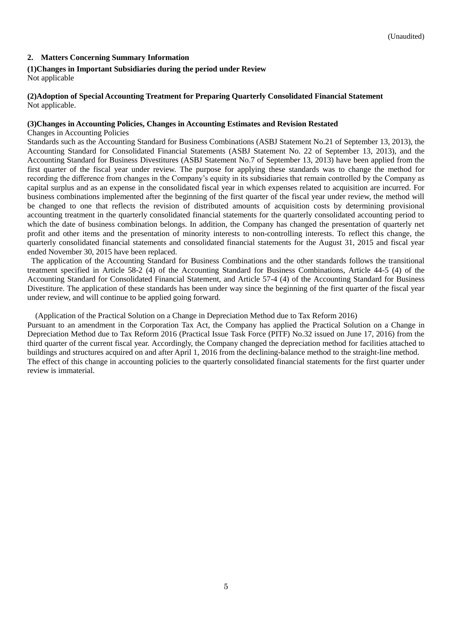### <span id="page-4-0"></span>**2. Matters Concerning Summary Information**

#### <span id="page-4-1"></span>**(1)Changes in Important Subsidiaries during the period under Review**

Not applicable

#### <span id="page-4-2"></span>**(2)Adoption of Special Accounting Treatment for Preparing Quarterly Consolidated Financial Statement** Not applicable.

#### <span id="page-4-3"></span>**(3)Changes in Accounting Policies, Changes in Accounting Estimates and Revision Restated**

Changes in Accounting Policies

Standards such as the Accounting Standard for Business Combinations (ASBJ Statement No.21 of September 13, 2013), the Accounting Standard for Consolidated Financial Statements (ASBJ Statement No. 22 of September 13, 2013), and the Accounting Standard for Business Divestitures (ASBJ Statement No.7 of September 13, 2013) have been applied from the first quarter of the fiscal year under review. The purpose for applying these standards was to change the method for recording the difference from changes in the Company's equity in its subsidiaries that remain controlled by the Company as capital surplus and as an expense in the consolidated fiscal year in which expenses related to acquisition are incurred. For business combinations implemented after the beginning of the first quarter of the fiscal year under review, the method will be changed to one that reflects the revision of distributed amounts of acquisition costs by determining provisional accounting treatment in the quarterly consolidated financial statements for the quarterly consolidated accounting period to which the date of business combination belongs. In addition, the Company has changed the presentation of quarterly net profit and other items and the presentation of minority interests to non-controlling interests. To reflect this change, the quarterly consolidated financial statements and consolidated financial statements for the August 31, 2015 and fiscal year ended November 30, 2015 have been replaced.

The application of the Accounting Standard for Business Combinations and the other standards follows the transitional treatment specified in Article 58-2 (4) of the Accounting Standard for Business Combinations, Article 44-5 (4) of the Accounting Standard for Consolidated Financial Statement, and Article 57-4 (4) of the Accounting Standard for Business Divestiture. The application of these standards has been under way since the beginning of the first quarter of the fiscal year under review, and will continue to be applied going forward.

(Application of the Practical Solution on a Change in Depreciation Method due to Tax Reform 2016)

Pursuant to an amendment in the Corporation Tax Act, the Company has applied the Practical Solution on a Change in Depreciation Method due to Tax Reform 2016 (Practical Issue Task Force (PITF) No.32 issued on June 17, 2016) from the third quarter of the current fiscal year. Accordingly, the Company changed the depreciation method for facilities attached to buildings and structures acquired on and after April 1, 2016 from the declining-balance method to the straight-line method. The effect of this change in accounting policies to the quarterly consolidated financial statements for the first quarter under review is immaterial.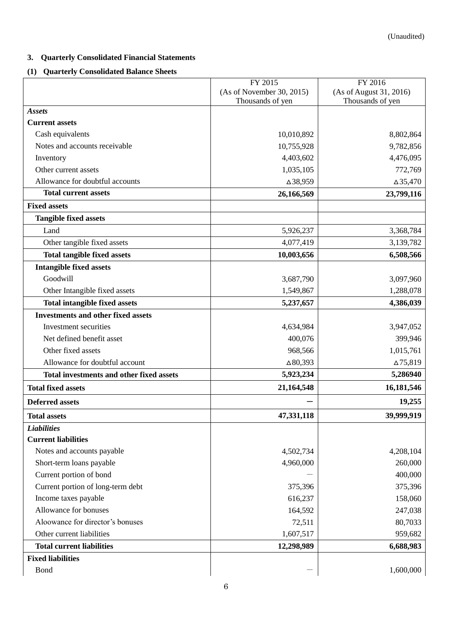# <span id="page-5-0"></span>**3. Quarterly Consolidated Financial Statements**

# <span id="page-5-1"></span>**(1) Quarterly Consolidated Balance Sheets**

|                                           | FY 2015                   | FY 2016                 |
|-------------------------------------------|---------------------------|-------------------------|
|                                           | (As of November 30, 2015) | (As of August 31, 2016) |
| <b>Assets</b>                             | Thousands of yen          | Thousands of yen        |
| <b>Current assets</b>                     |                           |                         |
| Cash equivalents                          | 10,010,892                | 8,802,864               |
| Notes and accounts receivable             | 10,755,928                | 9,782,856               |
| Inventory                                 | 4,403,602                 | 4,476,095               |
| Other current assets                      | 1,035,105                 | 772,769                 |
| Allowance for doubtful accounts           | △38,959                   | $\Delta 35,470$         |
| <b>Total current assets</b>               | 26,166,569                | 23,799,116              |
| <b>Fixed assets</b>                       |                           |                         |
| <b>Tangible fixed assets</b>              |                           |                         |
|                                           |                           |                         |
| Land                                      | 5,926,237                 | 3,368,784               |
| Other tangible fixed assets               | 4,077,419                 | 3,139,782               |
| <b>Total tangible fixed assets</b>        | 10,003,656                | 6,508,566               |
| <b>Intangible fixed assets</b>            |                           |                         |
| Goodwill                                  | 3,687,790                 | 3,097,960               |
| Other Intangible fixed assets             | 1,549,867                 | 1,288,078               |
| <b>Total intangible fixed assets</b>      | 5,237,657                 | 4,386,039               |
| <b>Investments and other fixed assets</b> |                           |                         |
| Investment securities                     | 4,634,984                 | 3,947,052               |
| Net defined benefit asset                 | 400,076                   | 399,946                 |
| Other fixed assets                        | 968,566                   | 1,015,761               |
| Allowance for doubtful account            | $\Delta 80,393$           | $\Delta$ 75,819         |
| Total investments and other fixed assets  | 5,923,234                 | 5,286940                |
| <b>Total fixed assets</b>                 | 21,164,548                | 16,181,546              |
| <b>Deferred assets</b>                    |                           | 19,255                  |
| <b>Total assets</b>                       | 47,331,118                | 39,999,919              |
| <b>Liabilities</b>                        |                           |                         |
| <b>Current liabilities</b>                |                           |                         |
| Notes and accounts payable                | 4,502,734                 | 4,208,104               |
| Short-term loans payable                  | 4,960,000                 | 260,000                 |
| Current portion of bond                   |                           | 400,000                 |
| Current portion of long-term debt         | 375,396                   | 375,396                 |
| Income taxes payable                      | 616,237                   | 158,060                 |
| Allowance for bonuses                     | 164,592                   | 247,038                 |
| Aloowance for director's bonuses          | 72,511                    | 80,7033                 |
| Other current liabilities                 | 1,607,517                 | 959,682                 |
| <b>Total current liabilities</b>          | 12,298,989                | 6,688,983               |
| <b>Fixed liabilities</b>                  |                           |                         |
| <b>Bond</b>                               |                           | 1,600,000               |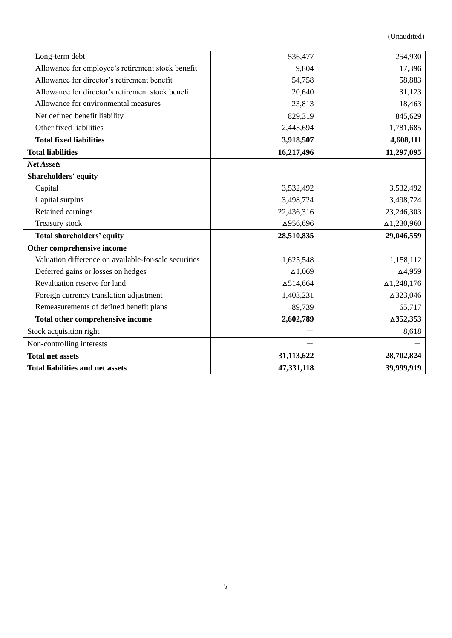(Unaudited)

| Long-term debt                                        | 536,477          | 254,930            |
|-------------------------------------------------------|------------------|--------------------|
| Allowance for employee's retirement stock benefit     | 9,804            | 17,396             |
| Allowance for director's retirement benefit           | 54,758           | 58,883             |
| Allowance for director's retirement stock benefit     | 20,640           | 31,123             |
| Allowance for environmental measures                  | 23,813           | 18,463             |
| Net defined benefit liability                         | 829,319          | 845,629            |
| Other fixed liabilities                               | 2,443,694        | 1,781,685          |
| <b>Total fixed liabilities</b>                        | 3,918,507        | 4,608,111          |
| <b>Total liabilities</b>                              | 16,217,496       | 11,297,095         |
| <b>Net Assets</b>                                     |                  |                    |
| <b>Shareholders' equity</b>                           |                  |                    |
| Capital                                               | 3,532,492        | 3,532,492          |
| Capital surplus                                       | 3,498,724        | 3,498,724          |
| Retained earnings                                     | 22,436,316       | 23,246,303         |
| Treasury stock                                        | △956,696         | $\Delta$ 1,230,960 |
| <b>Total shareholders' equity</b>                     | 28,510,835       | 29,046,559         |
| Other comprehensive income                            |                  |                    |
| Valuation difference on available-for-sale securities | 1,625,548        | 1,158,112          |
| Deferred gains or losses on hedges                    | $\Delta 1,069$   | $\Delta$ 4,959     |
| Revaluation reserve for land                          | $\Delta$ 514,664 | $\Delta$ 1,248,176 |
| Foreign currency translation adjustment               | 1,403,231        | △323,046           |
| Remeasurements of defined benefit plans               | 89,739           | 65,717             |
| Total other comprehensive income                      | 2,602,789        | $\Delta$ 352,353   |
| Stock acquisition right                               |                  | 8,618              |
| Non-controlling interests                             |                  |                    |
| <b>Total net assets</b>                               | 31,113,622       | 28,702,824         |
| <b>Total liabilities and net assets</b>               | 47,331,118       | 39,999,919         |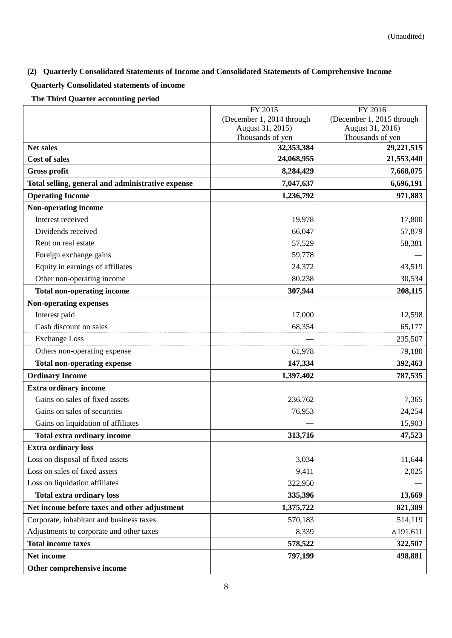# <span id="page-7-0"></span>**(2) Quarterly Consolidated Statements of Income and Consolidated Statements of Comprehensive Income**

# <span id="page-7-1"></span>**Quarterly Consolidated statements of income**

**The Third Quarter accounting period**

|                                                   | FY 2015                              | FY 2016                              |  |
|---------------------------------------------------|--------------------------------------|--------------------------------------|--|
|                                                   | (December 1, 2014 through            | (December 1, 2015 through            |  |
|                                                   | August 31, 2015)<br>Thousands of yen | August 31, 2016)<br>Thousands of yen |  |
| <b>Net sales</b>                                  | 32,353,384                           | 29,221,515                           |  |
| Cost of sales                                     | 24,068,955                           | 21,553,440                           |  |
| <b>Gross profit</b>                               | 8,284,429                            | 7,668,075                            |  |
| Total selling, general and administrative expense | 7,047,637                            | 6,696,191                            |  |
| <b>Operating Income</b>                           | 1,236,792                            | 971,883                              |  |
| Non-operating income                              |                                      |                                      |  |
| Interest received                                 | 19,978                               | 17,800                               |  |
| Dividends received                                | 66,047                               | 57,879                               |  |
| Rent on real estate                               | 57,529                               | 58,381                               |  |
| Foreign exchange gains                            | 59,778                               |                                      |  |
| Equity in earnings of affiliates                  | 24,372                               | 43,519                               |  |
| Other non-operating income                        | 80,238                               | 30,534                               |  |
| <b>Total non-operating income</b>                 | 307,944                              | 208,115                              |  |
| <b>Non-operating expenses</b>                     |                                      |                                      |  |
| Interest paid                                     | 17,000                               | 12,598                               |  |
| Cash discount on sales                            | 68,354                               | 65,177                               |  |
| <b>Exchange Loss</b>                              |                                      | 235,507                              |  |
| Others non-operating expense                      | 61,978                               | 79,180                               |  |
| <b>Total non-operating expense</b>                | 147,334                              | 392,463                              |  |
| <b>Ordinary Income</b>                            | 1,397,402                            | 787,535                              |  |
| <b>Extra ordinary income</b>                      |                                      |                                      |  |
| Gains on sales of fixed assets                    | 236,762                              | 7,365                                |  |
| Gains on sales of securities                      | 76,953                               | 24,254                               |  |
| Gains on liquidation of affiliates                |                                      | 15,903                               |  |
| Total extra ordinary income                       | 313,716                              | 47,523                               |  |
| <b>Extra ordinary loss</b>                        |                                      |                                      |  |
| Loss on disposal of fixed assets                  | 3,034                                | 11,644                               |  |
| Loss on sales of fixed assets                     | 9,411                                | 2,025                                |  |
| Loss on liquidation affiliates                    | 322,950                              |                                      |  |
| <b>Total extra ordinary loss</b>                  | 335,396                              | 13,669                               |  |
| Net income before taxes and other adjustment      | 1,375,722                            | 821,389                              |  |
| Corporate, inhabitant and business taxes          | 570,183                              | 514,119                              |  |
| Adjustments to corporate and other taxes          | 8,339                                | $\Delta$ 191,611                     |  |
| <b>Total income taxes</b>                         | 578,522                              | 322,507                              |  |
| Net income                                        | 797,199                              | 498,881                              |  |
| Other comprehensive income                        |                                      |                                      |  |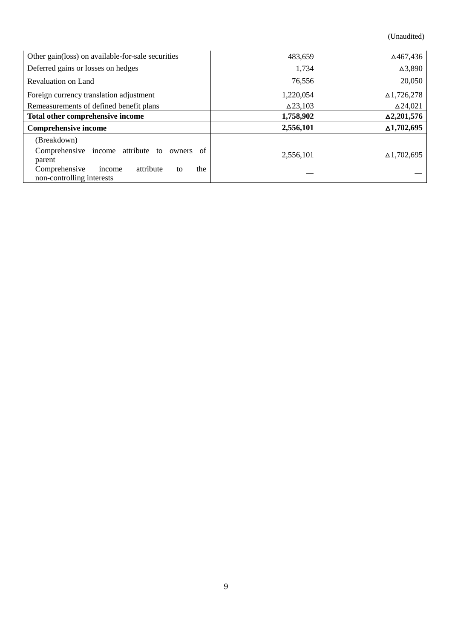(Unaudited)

| Other gain(loss) on available-for-sale securities                              | 483,659         | ∆467,436             |
|--------------------------------------------------------------------------------|-----------------|----------------------|
| Deferred gains or losses on hedges                                             | 1,734           | $\Delta$ 3,890       |
| Revaluation on Land                                                            | 76,556          | 20,050               |
| Foreign currency translation adjustment                                        | 1,220,054       | $\Delta$ 1,726,278   |
| Remeasurements of defined benefit plans                                        | $\Delta$ 23,103 | $\Delta$ 24,021      |
| Total other comprehensive income                                               | 1,758,902       | $\Delta 2, 201, 576$ |
| <b>Comprehensive income</b>                                                    | 2,556,101       | $\Delta$ 1,702,695   |
| (Breakdown)                                                                    |                 |                      |
| Comprehensive income attribute to<br>of<br>owners<br>parent                    | 2,556,101       | $\Delta$ 1,702,695   |
| the<br>Comprehensive<br>attribute<br>income<br>to<br>non-controlling interests |                 |                      |